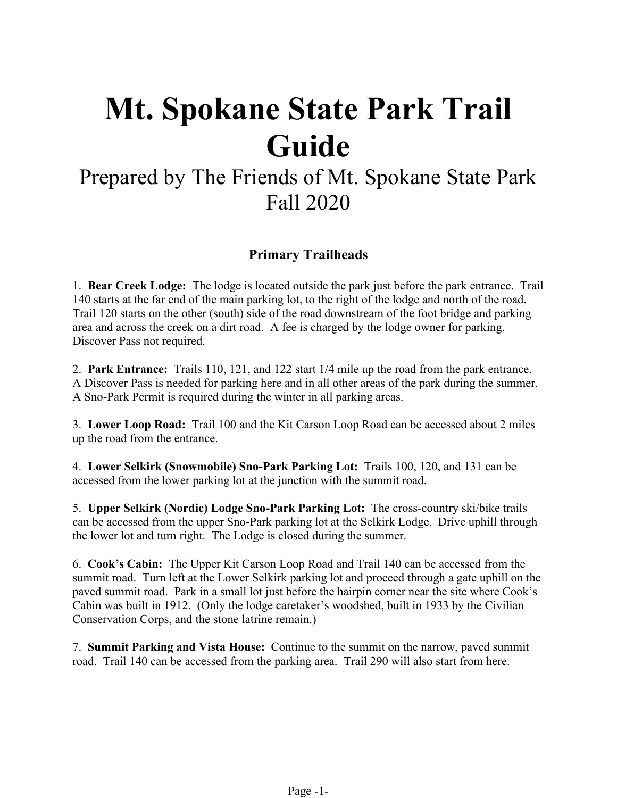# **Mt. Spokane State Park Trail Guide**

## Prepared by The Friends of Mt. Spokane State Park Fall 2020

### **Primary Trailheads**

1. **Bear Creek Lodge:** The lodge is located outside the park just before the park entrance. Trail 140 starts at the far end of the main parking lot, to the right of the lodge and north of the road. Trail 120 starts on the other (south) side of the road downstream of the foot bridge and parking area and across the creek on a dirt road. A fee is charged by the lodge owner for parking. Discover Pass not required.

2. **Park Entrance:** Trails 110, 121, and 122 start 1/4 mile up the road from the park entrance. A Discover Pass is needed for parking here and in all other areas of the park during the summer. A Sno-Park Permit is required during the winter in all parking areas.

3. **Lower Loop Road:** Trail 100 and the Kit Carson Loop Road can be accessed about 2 miles up the road from the entrance.

4. **Lower Selkirk (Snowmobile) Sno-Park Parking Lot:** Trails 100, 120, and 131 can be accessed from the lower parking lot at the junction with the summit road.

5. **Upper Selkirk (Nordic) Lodge Sno-Park Parking Lot:** The cross-country ski/bike trails can be accessed from the upper Sno-Park parking lot at the Selkirk Lodge. Drive uphill through the lower lot and turn right. The Lodge is closed during the summer.

6. **Cook's Cabin:** The Upper Kit Carson Loop Road and Trail 140 can be accessed from the summit road. Turn left at the Lower Selkirk parking lot and proceed through a gate uphill on the paved summit road. Park in a small lot just before the hairpin corner near the site where Cook's Cabin was built in 1912. (Only the lodge caretaker's woodshed, built in 1933 by the Civilian Conservation Corps, and the stone latrine remain.)

7. **Summit Parking and Vista House:** Continue to the summit on the narrow, paved summit road. Trail 140 can be accessed from the parking area. Trail 290 will also start from here.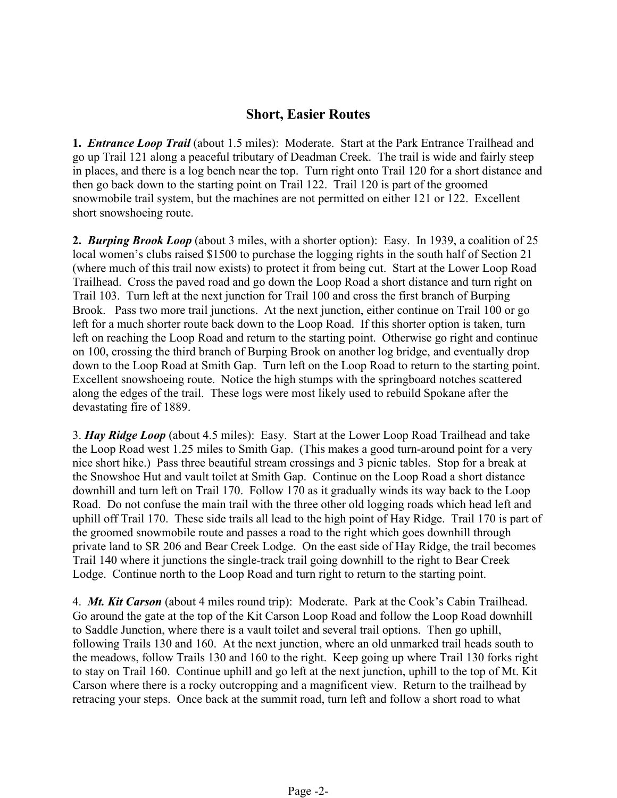#### **Short, Easier Routes**

**1.** *Entrance Loop Trail* (about 1.5 miles): Moderate. Start at the Park Entrance Trailhead and go up Trail 121 along a peaceful tributary of Deadman Creek. The trail is wide and fairly steep in places, and there is a log bench near the top. Turn right onto Trail 120 for a short distance and then go back down to the starting point on Trail 122. Trail 120 is part of the groomed snowmobile trail system, but the machines are not permitted on either 121 or 122. Excellent short snowshoeing route.

**2.** *Burping Brook Loop* (about 3 miles, with a shorter option): Easy. In 1939, a coalition of 25 local women's clubs raised \$1500 to purchase the logging rights in the south half of Section 21 (where much of this trail now exists) to protect it from being cut. Start at the Lower Loop Road Trailhead. Cross the paved road and go down the Loop Road a short distance and turn right on Trail 103. Turn left at the next junction for Trail 100 and cross the first branch of Burping Brook. Pass two more trail junctions. At the next junction, either continue on Trail 100 or go left for a much shorter route back down to the Loop Road. If this shorter option is taken, turn left on reaching the Loop Road and return to the starting point. Otherwise go right and continue on 100, crossing the third branch of Burping Brook on another log bridge, and eventually drop down to the Loop Road at Smith Gap. Turn left on the Loop Road to return to the starting point. Excellent snowshoeing route. Notice the high stumps with the springboard notches scattered along the edges of the trail. These logs were most likely used to rebuild Spokane after the devastating fire of 1889.

3. *Hay Ridge Loop* (about 4.5 miles): Easy. Start at the Lower Loop Road Trailhead and take the Loop Road west 1.25 miles to Smith Gap. (This makes a good turn-around point for a very nice short hike.) Pass three beautiful stream crossings and 3 picnic tables. Stop for a break at the Snowshoe Hut and vault toilet at Smith Gap. Continue on the Loop Road a short distance downhill and turn left on Trail 170. Follow 170 as it gradually winds its way back to the Loop Road. Do not confuse the main trail with the three other old logging roads which head left and uphill off Trail 170. These side trails all lead to the high point of Hay Ridge. Trail 170 is part of the groomed snowmobile route and passes a road to the right which goes downhill through private land to SR 206 and Bear Creek Lodge. On the east side of Hay Ridge, the trail becomes Trail 140 where it junctions the single-track trail going downhill to the right to Bear Creek Lodge. Continue north to the Loop Road and turn right to return to the starting point.

4. *Mt. Kit Carson* (about 4 miles round trip): Moderate. Park at the Cook's Cabin Trailhead. Go around the gate at the top of the Kit Carson Loop Road and follow the Loop Road downhill to Saddle Junction, where there is a vault toilet and several trail options. Then go uphill, following Trails 130 and 160. At the next junction, where an old unmarked trail heads south to the meadows, follow Trails 130 and 160 to the right. Keep going up where Trail 130 forks right to stay on Trail 160. Continue uphill and go left at the next junction, uphill to the top of Mt. Kit Carson where there is a rocky outcropping and a magnificent view. Return to the trailhead by retracing your steps. Once back at the summit road, turn left and follow a short road to what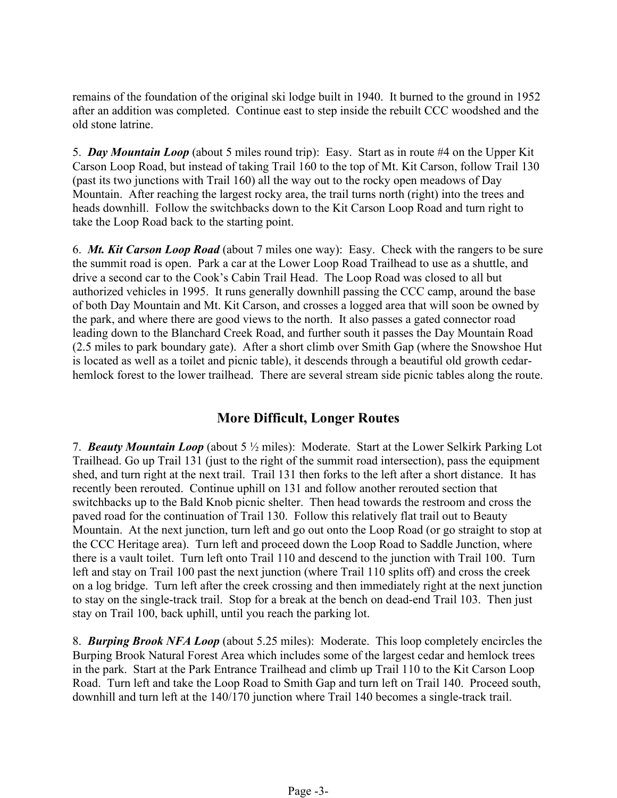remains of the foundation of the original ski lodge built in 1940. It burned to the ground in 1952 after an addition was completed. Continue east to step inside the rebuilt CCC woodshed and the old stone latrine.

5. *Day Mountain Loop* (about 5 miles round trip): Easy. Start as in route #4 on the Upper Kit Carson Loop Road, but instead of taking Trail 160 to the top of Mt. Kit Carson, follow Trail 130 (past its two junctions with Trail 160) all the way out to the rocky open meadows of Day Mountain. After reaching the largest rocky area, the trail turns north (right) into the trees and heads downhill. Follow the switchbacks down to the Kit Carson Loop Road and turn right to take the Loop Road back to the starting point.

6. *Mt. Kit Carson Loop Road* (about 7 miles one way): Easy. Check with the rangers to be sure the summit road is open. Park a car at the Lower Loop Road Trailhead to use as a shuttle, and drive a second car to the Cook's Cabin Trail Head. The Loop Road was closed to all but authorized vehicles in 1995. It runs generally downhill passing the CCC camp, around the base of both Day Mountain and Mt. Kit Carson, and crosses a logged area that will soon be owned by the park, and where there are good views to the north. It also passes a gated connector road leading down to the Blanchard Creek Road, and further south it passes the Day Mountain Road (2.5 miles to park boundary gate). After a short climb over Smith Gap (where the Snowshoe Hut is located as well as a toilet and picnic table), it descends through a beautiful old growth cedarhemlock forest to the lower trailhead. There are several stream side picnic tables along the route.

#### **More Difficult, Longer Routes**

7. *Beauty Mountain Loop* (about 5 ½ miles): Moderate. Start at the Lower Selkirk Parking Lot Trailhead. Go up Trail 131 (just to the right of the summit road intersection), pass the equipment shed, and turn right at the next trail. Trail 131 then forks to the left after a short distance. It has recently been rerouted. Continue uphill on 131 and follow another rerouted section that switchbacks up to the Bald Knob picnic shelter. Then head towards the restroom and cross the paved road for the continuation of Trail 130. Follow this relatively flat trail out to Beauty Mountain. At the next junction, turn left and go out onto the Loop Road (or go straight to stop at the CCC Heritage area). Turn left and proceed down the Loop Road to Saddle Junction, where there is a vault toilet. Turn left onto Trail 110 and descend to the junction with Trail 100. Turn left and stay on Trail 100 past the next junction (where Trail 110 splits off) and cross the creek on a log bridge. Turn left after the creek crossing and then immediately right at the next junction to stay on the single-track trail. Stop for a break at the bench on dead-end Trail 103. Then just stay on Trail 100, back uphill, until you reach the parking lot.

8. *Burping Brook NFA Loop* (about 5.25 miles): Moderate. This loop completely encircles the Burping Brook Natural Forest Area which includes some of the largest cedar and hemlock trees in the park. Start at the Park Entrance Trailhead and climb up Trail 110 to the Kit Carson Loop Road. Turn left and take the Loop Road to Smith Gap and turn left on Trail 140. Proceed south, downhill and turn left at the 140/170 junction where Trail 140 becomes a single-track trail.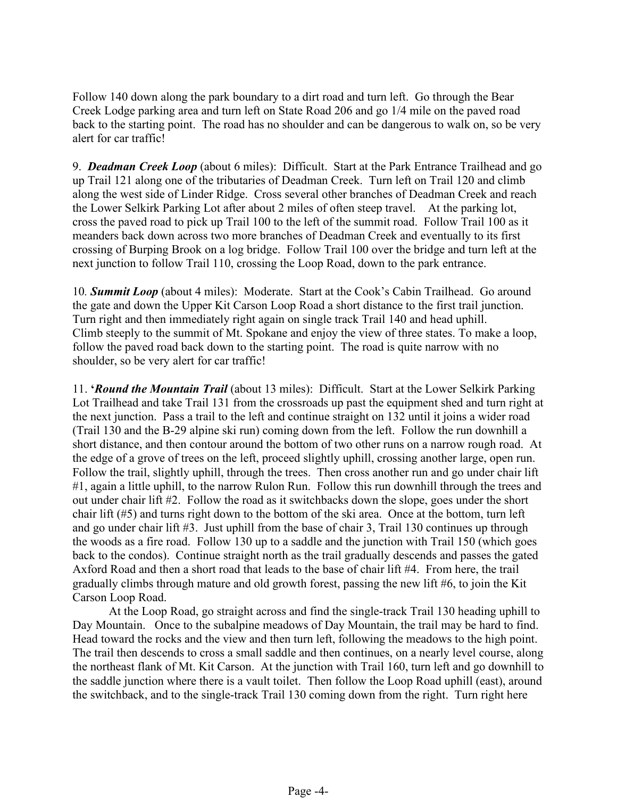Follow 140 down along the park boundary to a dirt road and turn left. Go through the Bear Creek Lodge parking area and turn left on State Road 206 and go 1/4 mile on the paved road back to the starting point. The road has no shoulder and can be dangerous to walk on, so be very alert for car traffic!

9. *Deadman Creek Loop* (about 6 miles): Difficult. Start at the Park Entrance Trailhead and go up Trail 121 along one of the tributaries of Deadman Creek. Turn left on Trail 120 and climb along the west side of Linder Ridge. Cross several other branches of Deadman Creek and reach the Lower Selkirk Parking Lot after about 2 miles of often steep travel. At the parking lot, cross the paved road to pick up Trail 100 to the left of the summit road. Follow Trail 100 as it meanders back down across two more branches of Deadman Creek and eventually to its first crossing of Burping Brook on a log bridge. Follow Trail 100 over the bridge and turn left at the next junction to follow Trail 110, crossing the Loop Road, down to the park entrance.

10*. Summit Loop* (about 4 miles): Moderate. Start at the Cook's Cabin Trailhead. Go around the gate and down the Upper Kit Carson Loop Road a short distance to the first trail junction. Turn right and then immediately right again on single track Trail 140 and head uphill. Climb steeply to the summit of Mt. Spokane and enjoy the view of three states. To make a loop, follow the paved road back down to the starting point. The road is quite narrow with no shoulder, so be very alert for car traffic!

11. **'***Round the Mountain Trail* (about 13 miles): Difficult. Start at the Lower Selkirk Parking Lot Trailhead and take Trail 131 from the crossroads up past the equipment shed and turn right at the next junction. Pass a trail to the left and continue straight on 132 until it joins a wider road (Trail 130 and the B-29 alpine ski run) coming down from the left. Follow the run downhill a short distance, and then contour around the bottom of two other runs on a narrow rough road. At the edge of a grove of trees on the left, proceed slightly uphill, crossing another large, open run. Follow the trail, slightly uphill, through the trees. Then cross another run and go under chair lift #1, again a little uphill, to the narrow Rulon Run. Follow this run downhill through the trees and out under chair lift #2. Follow the road as it switchbacks down the slope, goes under the short chair lift (#5) and turns right down to the bottom of the ski area. Once at the bottom, turn left and go under chair lift #3. Just uphill from the base of chair 3, Trail 130 continues up through the woods as a fire road. Follow 130 up to a saddle and the junction with Trail 150 (which goes back to the condos). Continue straight north as the trail gradually descends and passes the gated Axford Road and then a short road that leads to the base of chair lift #4. From here, the trail gradually climbs through mature and old growth forest, passing the new lift #6, to join the Kit Carson Loop Road.

At the Loop Road, go straight across and find the single-track Trail 130 heading uphill to Day Mountain. Once to the subalpine meadows of Day Mountain, the trail may be hard to find. Head toward the rocks and the view and then turn left, following the meadows to the high point. The trail then descends to cross a small saddle and then continues, on a nearly level course, along the northeast flank of Mt. Kit Carson. At the junction with Trail 160, turn left and go downhill to the saddle junction where there is a vault toilet. Then follow the Loop Road uphill (east), around the switchback, and to the single-track Trail 130 coming down from the right. Turn right here